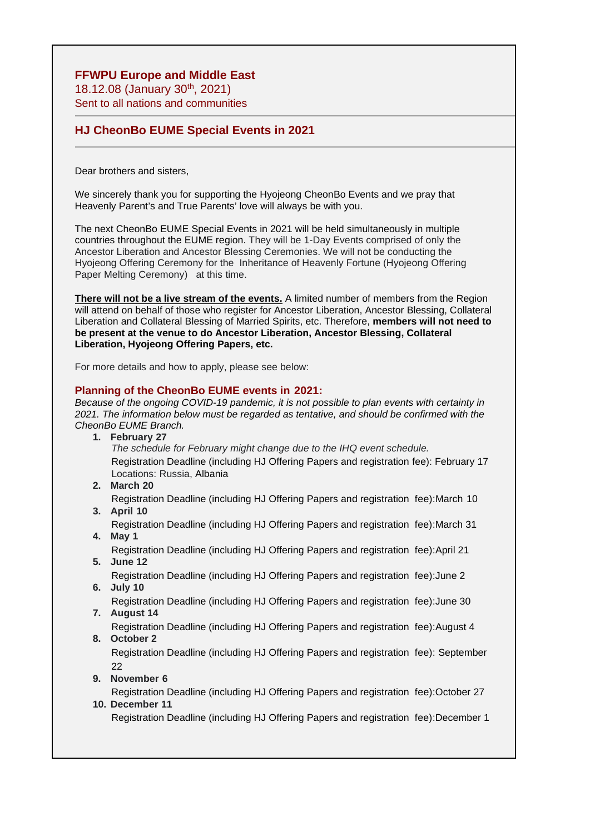# **FFWPU Europe and Middle East**

18.12.08 (January 30th, 2021) Sent to all nations and communities

# **HJ CheonBo EUME Special Events in 2021**

Dear brothers and sisters,

We sincerely thank you for supporting the Hyojeong CheonBo Events and we pray that Heavenly Parent's and True Parents' love will always be with you.

The next CheonBo EUME Special Events in 2021 will be held simultaneously in multiple countries throughout the EUME region. They will be 1-Day Events comprised of only the Ancestor Liberation and Ancestor Blessing Ceremonies. We will not be conducting the Hyojeong Offering Ceremony for the Inheritance of Heavenly Fortune (Hyojeong Offering Paper Melting Ceremony) at this time.

**There will not be a live stream of the events.** A limited number of members from the Region will attend on behalf of those who register for Ancestor Liberation, Ancestor Blessing, Collateral Liberation and Collateral Blessing of Married Spirits, etc. Therefore, **members will not need to be present at the venue to do Ancestor Liberation, Ancestor Blessing, Collateral Liberation, Hyojeong Offering Papers, etc.**

For more details and how to apply, please see below:

### **Planning of the CheonBo EUME events in 2021:**

*Because of the ongoing COVID-19 pandemic, it is not possible to plan events with certainty in 2021. The information below must be regarded as tentative, and should be confirmed with the CheonBo EUME Branch.*

**1. February 27**

*The schedule for February might change due to the IHQ event schedule.* Registration Deadline (including HJ Offering Papers and registration fee): February 17 Locations: Russia, Albania

**2. March 20**

Registration Deadline (including HJ Offering Papers and registration fee):March 10

**3. April 10**

Registration Deadline (including HJ Offering Papers and registration fee):March 31 **4. May 1** 

Registration Deadline (including HJ Offering Papers and registration fee):April 21 **5. June 12**

Registration Deadline (including HJ Offering Papers and registration fee):June 2 **6. July 10**

Registration Deadline (including HJ Offering Papers and registration fee):June 30 **7. August 14**

Registration Deadline (including HJ Offering Papers and registration fee): August 4 **8. October 2** 

Registration Deadline (including HJ Offering Papers and registration fee): September 22

**9. November 6** 

Registration Deadline (including HJ Offering Papers and registration fee):October 27

### **10. December 11**

Registration Deadline (including HJ Offering Papers and registration fee):December 1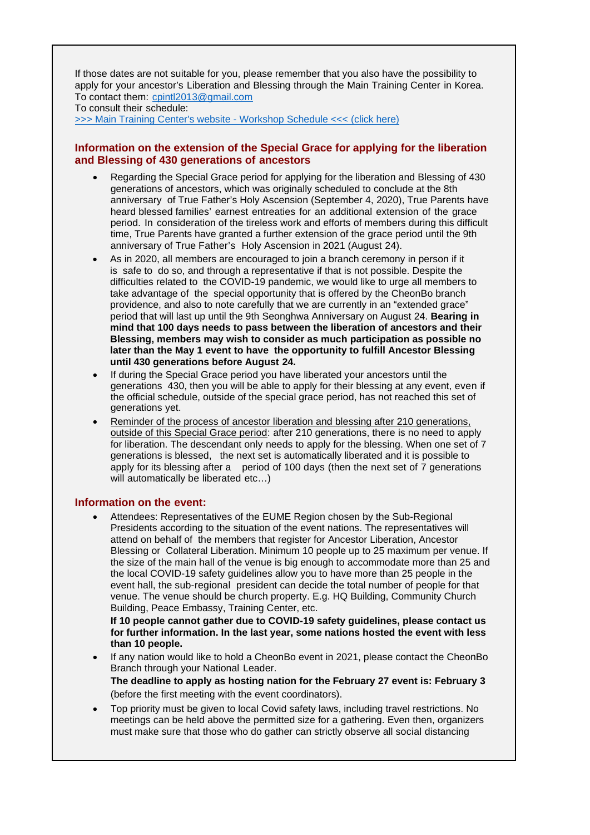If those dates are not suitable for you, please remember that you also have the possibility to apply for your ancestor's Liberation and Blessing through the Main Training Center in Korea. To contact them: cpintl2013@gmail.com

To consult their schedule:

>>> Main Training Center's website - Workshop Schedule <<< (click here)

### **Information on the extension of the Special Grace for applying for the liberation and Blessing of 430 generations of ancestors**

- Regarding the Special Grace period for applying for the liberation and Blessing of 430 generations of ancestors, which was originally scheduled to conclude at the 8th anniversary of True Father's Holy Ascension (September 4, 2020), True Parents have heard blessed families' earnest entreaties for an additional extension of the grace period. In consideration of the tireless work and efforts of members during this difficult time, True Parents have granted a further extension of the grace period until the 9th anniversary of True Father's Holy Ascension in 2021 (August 24).
- As in 2020, all members are encouraged to join a branch ceremony in person if it is safe to do so, and through a representative if that is not possible. Despite the difficulties related to the COVID-19 pandemic, we would like to urge all members to take advantage of the special opportunity that is offered by the CheonBo branch providence, and also to note carefully that we are currently in an "extended grace" period that will last up until the 9th Seonghwa Anniversary on August 24. **Bearing in mind that 100 days needs to pass between the liberation of ancestors and their Blessing, members may wish to consider as much participation as possible no later than the May 1 event to have the opportunity to fulfill Ancestor Blessing until 430 generations before August 24.**
- If during the Special Grace period you have liberated your ancestors until the generations 430, then you will be able to apply for their blessing at any event, even if the official schedule, outside of the special grace period, has not reached this set of generations yet.
- Reminder of the process of ancestor liberation and blessing after 210 generations, outside of this Special Grace period: after 210 generations, there is no need to apply for liberation. The descendant only needs to apply for the blessing. When one set of 7 generations is blessed, the next set is automatically liberated and it is possible to apply for its blessing after a period of 100 days (then the next set of 7 generations will automatically be liberated etc…)

#### **Information on the event:**

• Attendees: Representatives of the EUME Region chosen by the Sub-Regional Presidents according to the situation of the event nations. The representatives will attend on behalf of the members that register for Ancestor Liberation, Ancestor Blessing or Collateral Liberation. Minimum 10 people up to 25 maximum per venue. If the size of the main hall of the venue is big enough to accommodate more than 25 and the local COVID-19 safety guidelines allow you to have more than 25 people in the event hall, the sub-regional president can decide the total number of people for that venue. The venue should be church property. E.g. HQ Building, Community Church Building, Peace Embassy, Training Center, etc.

**If 10 people cannot gather due to COVID-19 safety guidelines, please contact us for further information. In the last year, some nations hosted the event with less than 10 people.**

• If any nation would like to hold a CheonBo event in 2021, please contact the CheonBo Branch through your National Leader.

**The deadline to apply as hosting nation for the February 27 event is: February 3** (before the first meeting with the event coordinators).

• Top priority must be given to local Covid safety laws, including travel restrictions. No meetings can be held above the permitted size for a gathering. Even then, organizers must make sure that those who do gather can strictly observe all social distancing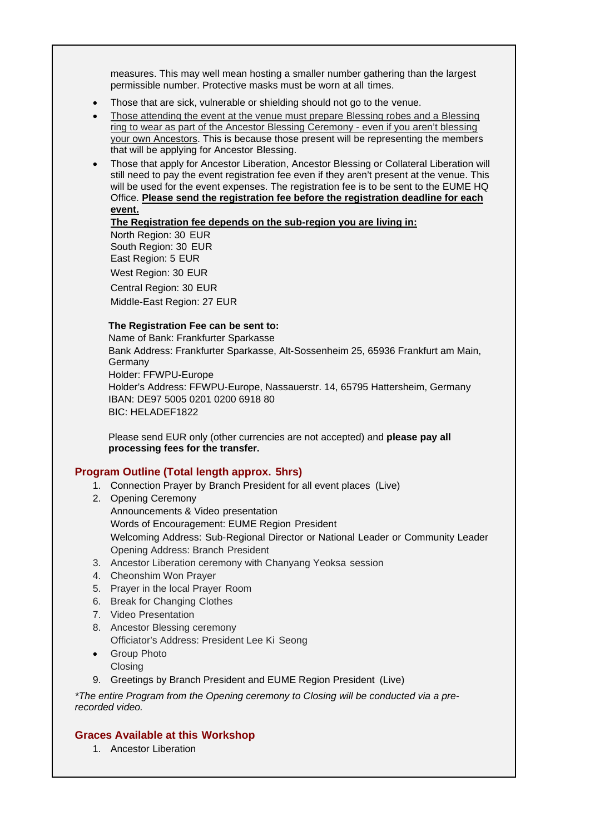measures. This may well mean hosting a smaller number gathering than the largest permissible number. Protective masks must be worn at all times.

- Those that are sick, vulnerable or shielding should not go to the venue.
- Those attending the event at the venue must prepare Blessing robes and a Blessing ring to wear as part of the Ancestor Blessing Ceremony - even if you aren't blessing your own Ancestors. This is because those present will be representing the members that will be applying for Ancestor Blessing.
- Those that apply for Ancestor Liberation, Ancestor Blessing or Collateral Liberation will still need to pay the event registration fee even if they aren't present at the venue. This will be used for the event expenses. The registration fee is to be sent to the EUME HQ Office. **Please send the registration fee before the registration deadline for each event.**

### **The Registration fee depends on the sub-region you are living in:**

North Region: 30 EUR South Region: 30 EUR East Region: 5 EUR West Region: 30 EUR Central Region: 30 EUR Middle-East Region: 27 EUR

#### **The Registration Fee can be sent to:**

Name of Bank: Frankfurter Sparkasse Bank Address: Frankfurter Sparkasse, Alt-Sossenheim 25, 65936 Frankfurt am Main, Germany Holder: FFWPU-Europe Holder's Address: FFWPU-Europe, Nassauerstr. 14, 65795 Hattersheim, Germany IBAN: DE97 5005 0201 0200 6918 80 BIC: HELADEF1822

Please send EUR only (other currencies are not accepted) and **please pay all processing fees for the transfer.**

## **Program Outline (Total length approx. 5hrs)**

- 1. Connection Prayer by Branch President for all event places (Live)
- 2. Opening Ceremony Announcements & Video presentation Words of Encouragement: EUME Region President Welcoming Address: Sub-Regional Director or National Leader or Community Leader Opening Address: Branch President
- 3. Ancestor Liberation ceremony with Chanyang Yeoksa session
- 4. Cheonshim Won Prayer
- 5. Prayer in the local Prayer Room
- 6. Break for Changing Clothes
- 7. Video Presentation
- 8. Ancestor Blessing ceremony Officiator's Address: President Lee Ki Seong
- Group Photo **Closing**
- 9. Greetings by Branch President and EUME Region President (Live)

*\*The entire Program from the Opening ceremony to Closing will be conducted via a prerecorded video.*

### **Graces Available at this Workshop**

1. Ancestor Liberation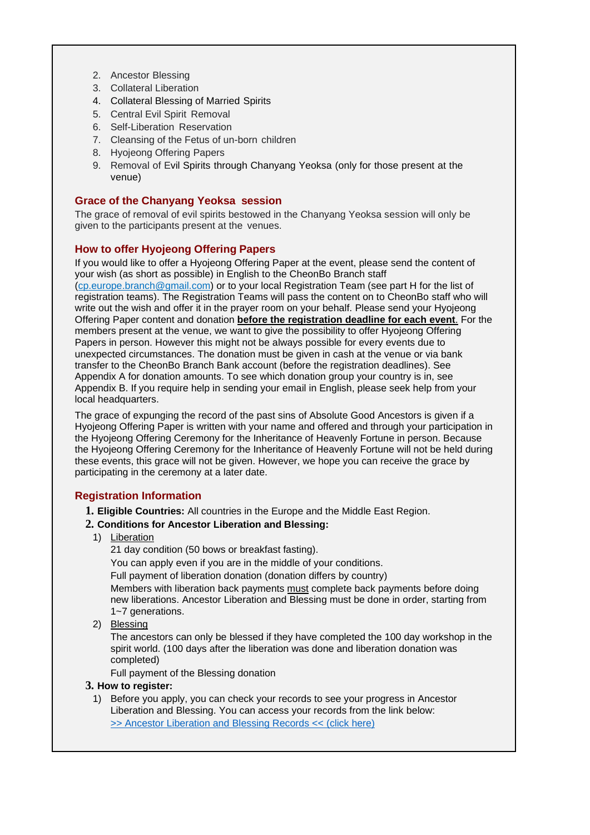- 2. Ancestor Blessing
- 3. Collateral Liberation
- 4. Collateral Blessing of Married Spirits
- 5. Central Evil Spirit Removal
- 6. Self-Liberation Reservation
- 7. Cleansing of the Fetus of un-born children
- 8. Hyojeong Offering Papers
- 9. Removal of Evil Spirits through Chanyang Yeoksa (only for those present at the venue)

## **Grace of the Chanyang Yeoksa session**

The grace of removal of evil spirits bestowed in the Chanyang Yeoksa session will only be given to the participants present at the venues.

# **How to offer Hyojeong Offering Papers**

If you would like to offer a Hyojeong Offering Paper at the event, please send the content of your wish (as short as possible) in English to the CheonBo Branch staff

(cp.europe.branch@gmail.com) or to your local Registration Team (see part H for the list of registration teams). The Registration Teams will pass the content on to CheonBo staff who will write out the wish and offer it in the prayer room on your behalf. Please send your Hyojeong Offering Paper content and donation **before the registration deadline for each event**. For the members present at the venue, we want to give the possibility to offer Hyojeong Offering Papers in person. However this might not be always possible for every events due to unexpected circumstances. The donation must be given in cash at the venue or via bank transfer to the CheonBo Branch Bank account (before the registration deadlines). See Appendix A for donation amounts. To see which donation group your country is in, see Appendix B. If you require help in sending your email in English, please seek help from your local headquarters.

The grace of expunging the record of the past sins of Absolute Good Ancestors is given if a Hyojeong Offering Paper is written with your name and offered and through your participation in the Hyojeong Offering Ceremony for the Inheritance of Heavenly Fortune in person. Because the Hyojeong Offering Ceremony for the Inheritance of Heavenly Fortune will not be held during these events, this grace will not be given. However, we hope you can receive the grace by participating in the ceremony at a later date.

# **Registration Information**

**1. Eligible Countries:** All countries in the Europe and the Middle East Region.

### **2. Conditions for Ancestor Liberation and Blessing:**

1) Liberation

21 day condition (50 bows or breakfast fasting).

You can apply even if you are in the middle of your conditions.

Full payment of liberation donation (donation differs by country) Members with liberation back payments must complete back payments before doing new liberations. Ancestor Liberation and Blessing must be done in order, starting from 1~7 generations.

2) Blessing

The ancestors can only be blessed if they have completed the 100 day workshop in the spirit world. (100 days after the liberation was done and liberation donation was completed)

Full payment of the Blessing donation

### **3. How to register:**

1) Before you apply, you can check your records to see your progress in Ancestor Liberation and Blessing. You can access your records from the link below: >> Ancestor Liberation and Blessing Records << (click here)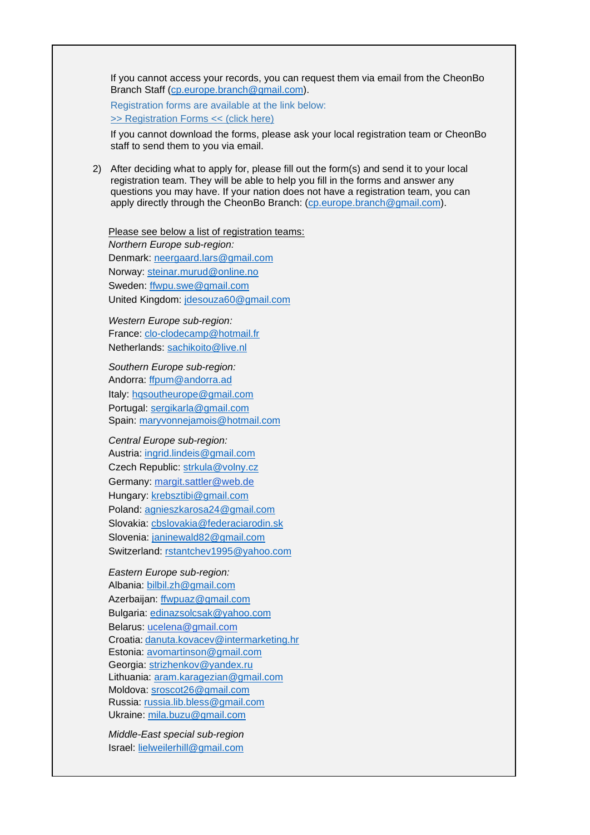If you cannot access your records, you can request them via email from the CheonBo Branch Staff (cp.europe.branch@gmail.com).

Registration forms are available at the link below: >> Registration Forms << (click here)

If you cannot download the forms, please ask your local registration team or CheonBo staff to send them to you via email.

2) After deciding what to apply for, please fill out the form(s) and send it to your local registration team. They will be able to help you fill in the forms and answer any questions you may have. If your nation does not have a registration team, you can apply directly through the CheonBo Branch: (cp.europe.branch@gmail.com).

Please see below a list of registration teams: *Northern Europe sub-region:* Denmark: neergaard.lars@gmail.com Norway: steinar.murud@online.no Sweden: ffwpu.swe@gmail.com United Kingdom: jdesouza60@gmail.com

*Western Europe sub-region:* France: clo-clodecamp@hotmail.fr Netherlands: sachikoito@live.nl

*Southern Europe sub-region:* Andorra: ffpum@andorra.ad Italy: hqsoutheurope@gmail.com Portugal: sergikarla@gmail.com Spain: maryvonnejamois@hotmail.com

*Central Europe sub-region:* Austria: ingrid.lindeis@gmail.com Czech Republic: strkula@volny.cz Germany: margit.sattler@web.de Hungary: krebsztibi@gmail.com Poland: agnieszkarosa24@gmail.com Slovakia: cbslovakia@federaciarodin.sk Slovenia: janinewald82@gmail.com Switzerland: rstantchev1995@yahoo.com

*Eastern Europe sub-region:* Albania: bilbil.zh@gmail.com Azerbaijan: ffwpuaz@gmail.com Bulgaria: edinazsolcsak@yahoo.com Belarus: ucelena@gmail.com Croatia: danuta.kovacev@intermarketing.hr Estonia: avomartinson@gmail.com Georgia: strizhenkov@yandex.ru Lithuania: aram.karagezian@gmail.com Moldova: sroscot26@gmail.com Russia: russia.lib.bless@gmail.com Ukraine: mila.buzu@gmail.com

*Middle-East special sub-region* Israel: lielweilerhill@gmail.com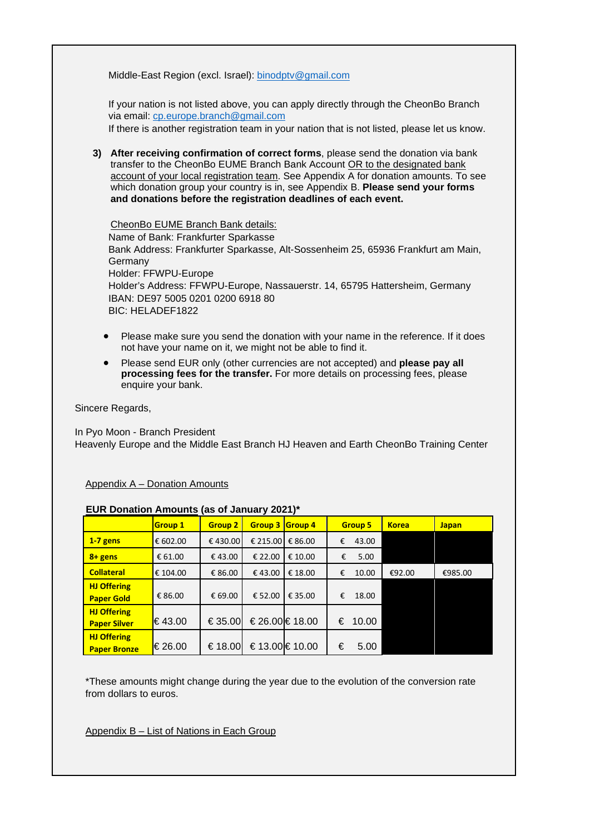Middle-East Region (excl. Israel): binodptv@gmail.com

If your nation is not listed above, you can apply directly through the CheonBo Branch via email: cp.europe.branch@gmail.com

If there is another registration team in your nation that is not listed, please let us know.

**3) After receiving confirmation of correct forms**, please send the donation via bank transfer to the CheonBo EUME Branch Bank Account OR to the designated bank account of your local registration team. See Appendix A for donation amounts. To see which donation group your country is in, see Appendix B. **Please send your forms and donations before the registration deadlines of each event.**

CheonBo EUME Branch Bank details: Name of Bank: Frankfurter Sparkasse Bank Address: Frankfurter Sparkasse, Alt-Sossenheim 25, 65936 Frankfurt am Main, Germany Holder: FFWPU-Europe Holder's Address: FFWPU-Europe, Nassauerstr. 14, 65795 Hattersheim, Germany IBAN: DE97 5005 0201 0200 6918 80 BIC: HELADEF1822

- Please make sure you send the donation with your name in the reference. If it does not have your name on it, we might not be able to find it.
- Please send EUR only (other currencies are not accepted) and **please pay all processing fees for the transfer.** For more details on processing fees, please enquire your bank.

Sincere Regards,

In Pyo Moon - Branch President Heavenly Europe and the Middle East Branch HJ Heaven and Earth CheonBo Training Center

Appendix A – Donation Amounts

#### **EUR Donation Amounts (as of January 2021)\***

|                     | <b>Group 1</b> | <b>Group 2</b> | <b>Group 3</b> | <b>Group 4</b> | <b>Group 5</b> | <b>Korea</b> | <b>Japan</b> |  |  |  |
|---------------------|----------------|----------------|----------------|----------------|----------------|--------------|--------------|--|--|--|
| $1-7$ gens          | € 602.00       | €430.00        | € 215.00       | € 86.00        | €<br>43.00     |              |              |  |  |  |
| $8 +$ gens          | € 61.00        | €43.00         | € 22.00        | € 10.00        | 5.00<br>€      |              |              |  |  |  |
| <b>Collateral</b>   | € 104.00       | € 86.00        | €43.00         | € 18.00        | 10.00<br>€     | €92.00       | €985.00      |  |  |  |
| <b>HJ Offering</b>  |                |                |                |                |                |              |              |  |  |  |
| <b>Paper Gold</b>   | € 86.00        | € 69.00        | € 52.00        | € 35.00        | €<br>18.00     |              |              |  |  |  |
| <b>HJ Offering</b>  |                |                |                |                |                |              |              |  |  |  |
| <b>Paper Silver</b> | €43.00         | € 35.00        |                | €26.00 €18.00  | €<br>10.00     |              |              |  |  |  |
| <b>HJ Offering</b>  |                |                |                |                |                |              |              |  |  |  |
| <b>Paper Bronze</b> | €26.00         | € 18.00        |                | €13.00€10.00   | €<br>5.00      |              |              |  |  |  |

\*These amounts might change during the year due to the evolution of the conversion rate from dollars to euros.

Appendix B – List of Nations in Each Group